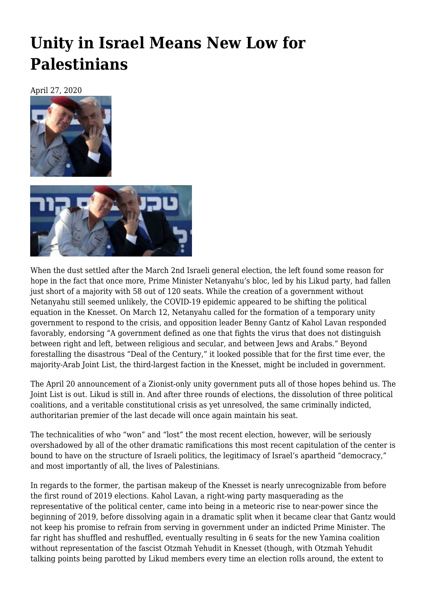## **[Unity in Israel Means New Low for](https://newpol.org/unity-in-israel-means-new-low-for-palestinians/) [Palestinians](https://newpol.org/unity-in-israel-means-new-low-for-palestinians/)**

April 27, 2020





When the dust settled after the March 2nd Israeli general election, the left found some reason for hope in the fact that once more, Prime Minister Netanyahu's bloc, led by his Likud party, had fallen just short of a majority with 58 out of 120 seats. While the creation of a government without Netanyahu still seemed unlikely, the COVID-19 epidemic appeared to be shifting the political equation in the Knesset. On March 12, Netanyahu called for the formation of a temporary unity government to respond to the crisis, and opposition leader Benny Gantz of Kahol Lavan [responded](https://www.timesofisrael.com/gantz-unity-govt-needed-now-im-waiting-for-netanyahu-to-ok-negotiations/) favorably, endorsing "A government defined as one that fights the virus that does not distinguish between right and left, between religious and secular, and between Jews and Arabs." Beyond forestalling the disastrous "Deal of the Century," it looked possible that for the first time ever, the majority-Arab Joint List, the third-largest faction in the Knesset, might be included in government.

The April 20 announcement of a Zionist-only unity government puts all of those hopes behind us. The Joint List is out. Likud is still in. And after three rounds of elections, the dissolution of three political coalitions, and a veritable constitutional crisis as yet unresolved, the same criminally indicted, authoritarian premier of the last decade will once again maintain his seat.

The technicalities of who "won" and "lost" the most recent election, however, will be seriously overshadowed by all of the other dramatic ramifications this most recent capitulation of the center is bound to have on the structure of Israeli politics, the legitimacy of Israel's apartheid "democracy," and most importantly of all, the lives of Palestinians.

In regards to the former, the partisan makeup of the Knesset is nearly unrecognizable from before the first round of 2019 elections. Kahol Lavan, a right-wing party masquerading as the representative of the political center, came into being in a meteoric rise to near-power since the beginning of 2019, before dissolving again in a dramatic split when it became clear that Gantz would not keep his promise to refrain from serving in government under an indicted Prime Minister. The far right has shuffled and reshuffled, eventually resulting in 6 seats for the new Yamina coalition without representation of the fascist Otzmah Yehudit in Knesset (though, with Otzmah Yehudit talking points being parotted by Likud members every time an election rolls around, the extent to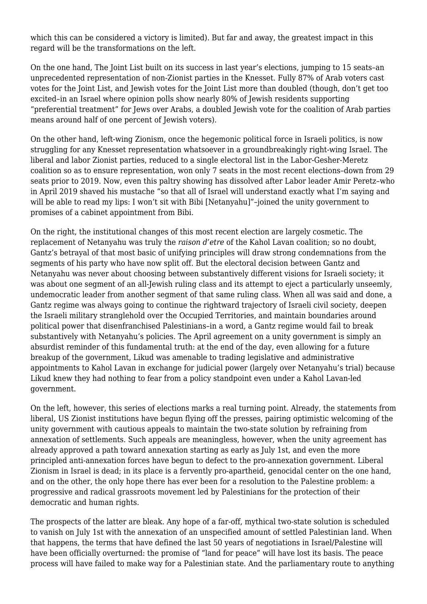which this can be considered a victory is limited). But far and away, the greatest impact in this regard will be the transformations on the left.

On the one hand, The Joint List built on its success in last year's elections, jumping to 15 seats–an unprecedented representation of non-Zionist parties in the Knesset. Fully [87%](https://www.timesofisrael.com/joint-list-captured-almost-total-arab-vote-pollster-calculates/) of Arab voters cast votes for the Joint List, and Jewish votes for the Joint List more than doubled (though, don't get too excited–in an Israel where [opinion polls](https://www.timesofisrael.com/plurality-of-jewish-israelis-want-to-expel-arabs-study-shows/) show nearly 80% of Jewish residents supporting "preferential treatment" for Jews over Arabs, a doubled Jewish vote for the coalition of Arab parties means around half of one percent of Jewish voters).

On the other hand, left-wing Zionism, once the hegemonic political force in Israeli politics, is now struggling for any Knesset representation whatsoever in a groundbreakingly right-wing Israel. The liberal and labor Zionist parties, reduced to a single electoral list in the Labor-Gesher-Meretz coalition so as to ensure representation, won only 7 seats in the most recent elections–down from 29 seats prior to 2019. Now, even this paltry showing has dissolved after Labor leader Amir Peretz–who in [April](https://www.timesofisrael.com/read-my-lips-labor-leader-sheds-iconic-mustache-after-47-years/) 2019 shaved his mustache "so that all of Israel will understand exactly what I'm saying and will be able to read my lips: I won't sit with Bibi [Netanyahu]"-joined the unity government to promises of a cabinet appointment from Bibi.

On the right, the institutional changes of this most recent election are largely cosmetic. The replacement of Netanyahu was truly the *raison d'etre* of the Kahol Lavan coalition; so no doubt, Gantz's betrayal of that most basic of unifying principles will draw strong condemnations from the segments of his party who have now split off. But the electoral decision between Gantz and Netanyahu was never about choosing between substantively different visions for Israeli society; it was about one segment of an all-Jewish ruling class and its attempt to eject a particularly unseemly, undemocratic leader from another segment of that same ruling class. When all was said and done, a Gantz regime was always going to continue the rightward trajectory of Israeli civil society, deepen the Israeli military stranglehold over the Occupied Territories, and maintain boundaries around political power that disenfranchised Palestinians–in a word, a Gantz regime would fail to break substantively with Netanyahu's policies. The April agreement on a unity government is simply an absurdist reminder of this fundamental truth: at the end of the day, even allowing for a future breakup of the government, Likud was amenable to trading legislative and administrative appointments to Kahol Lavan in exchange for judicial power (largely over Netanyahu's trial) because Likud knew they had nothing to fear from a policy standpoint even under a Kahol Lavan-led government.

On the left, however, this series of elections marks a real turning point. Already, the statements from liberal, US Zionist institutions have begun flying off the presses, pairing optimistic welcoming of the unity government with cautious appeals to maintain the two-state solution by refraining from annexation of settlements. Such appeals are meaningless, however, when the unity agreement has already approved a path toward annexation starting as early as July 1st, and even the more principled anti-annexation forces have begun to defect to the pro-annexation government. Liberal Zionism in Israel is dead; in its place is a fervently pro-apartheid, genocidal center on the one hand, and on the other, the only hope there has ever been for a resolution to the Palestine problem: a progressive and radical grassroots movement led by Palestinians for the protection of their democratic and human rights.

The prospects of the latter are bleak. Any hope of a far-off, mythical two-state solution is scheduled to vanish on July 1st with the annexation of an unspecified amount of settled Palestinian land. When that happens, the terms that have defined the last 50 years of negotiations in Israel/Palestine will have been officially overturned: the promise of "land for peace" will have lost its basis. The peace process will have failed to make way for a Palestinian state. And the parliamentary route to anything